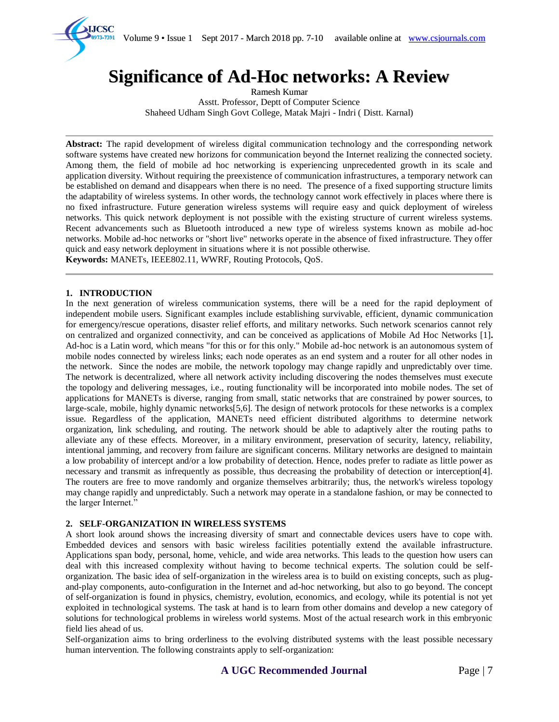Volume 9 • Issue 1 Sept 2017 - March 2018 pp. 7-10 available online at www.csjournals.com



# **Significance of Ad-Hoc networks: A Review**

Ramesh Kumar Asstt. Professor, Deptt of Computer Science Shaheed Udham Singh Govt College, Matak Majri - Indri ( Distt. Karnal)

**Abstract:** The rapid development of wireless digital communication technology and the corresponding network software systems have created new horizons for communication beyond the Internet realizing the connected society. Among them, the field of mobile ad hoc networking is experiencing unprecedented growth in its scale and application diversity. Without requiring the preexistence of communication infrastructures, a temporary network can be established on demand and disappears when there is no need. The presence of a fixed supporting structure limits the adaptability of wireless systems. In other words, the technology cannot work effectively in places where there is no fixed infrastructure. Future generation wireless systems will require easy and quick deployment of wireless networks. This quick network deployment is not possible with the existing structure of current wireless systems. Recent advancements such as Bluetooth introduced a new type of wireless systems known as mobile ad-hoc networks. Mobile ad-hoc networks or "short live" networks operate in the absence of fixed infrastructure. They offer quick and easy network deployment in situations where it is not possible otherwise.

**Keywords:** MANETs, IEEE802.11, WWRF, Routing Protocols, QoS.

### **1. INTRODUCTION**

In the next generation of wireless communication systems, there will be a need for the rapid deployment of independent mobile users. Significant examples include establishing survivable, efficient, dynamic communication for emergency/rescue operations, disaster relief efforts, and military networks. Such network scenarios cannot rely on centralized and organized connectivity, and can be conceived as applications of Mobile Ad Hoc Networks [1]**.** Ad-hoc is a Latin word, which means "for this or for this only." Mobile ad-hoc network is an autonomous system of mobile nodes connected by wireless links; each node operates as an end system and a router for all other nodes in the network. Since the nodes are mobile, the network topology may change rapidly and unpredictably over time. The network is decentralized, where all network activity including discovering the nodes themselves must execute the topology and delivering messages, i.e., routing functionality will be incorporated into mobile nodes. The set of applications for MANETs is diverse, ranging from small, static networks that are constrained by power sources, to large-scale, mobile, highly dynamic networks[5,6]. The design of network protocols for these networks is a complex issue. Regardless of the application, MANETs need efficient distributed algorithms to determine network organization, link scheduling, and routing. The network should be able to adaptively alter the routing paths to alleviate any of these effects. Moreover, in a military environment, preservation of security, latency, reliability, intentional jamming, and recovery from failure are significant concerns. Military networks are designed to maintain a low probability of intercept and/or a low probability of detection. Hence, nodes prefer to radiate as little power as necessary and transmit as infrequently as possible, thus decreasing the probability of detection or interception[4]. The routers are free to move randomly and organize themselves arbitrarily; thus, the network's wireless topology may change rapidly and unpredictably. Such a network may operate in a standalone fashion, or may be connected to the larger Internet."

### **2. SELF-ORGANIZATION IN WIRELESS SYSTEMS**

A short look around shows the increasing diversity of smart and connectable devices users have to cope with. Embedded devices and sensors with basic wireless facilities potentially extend the available infrastructure. Applications span body, personal, home, vehicle, and wide area networks. This leads to the question how users can deal with this increased complexity without having to become technical experts. The solution could be selforganization. The basic idea of self-organization in the wireless area is to build on existing concepts, such as plugand-play components, auto-configuration in the Internet and ad-hoc networking, but also to go beyond. The concept of self-organization is found in physics, chemistry, evolution, economics, and ecology, while its potential is not yet exploited in technological systems. The task at hand is to learn from other domains and develop a new category of solutions for technological problems in wireless world systems. Most of the actual research work in this embryonic field lies ahead of us.

Self-organization aims to bring orderliness to the evolving distributed systems with the least possible necessary human intervention. The following constraints apply to self-organization: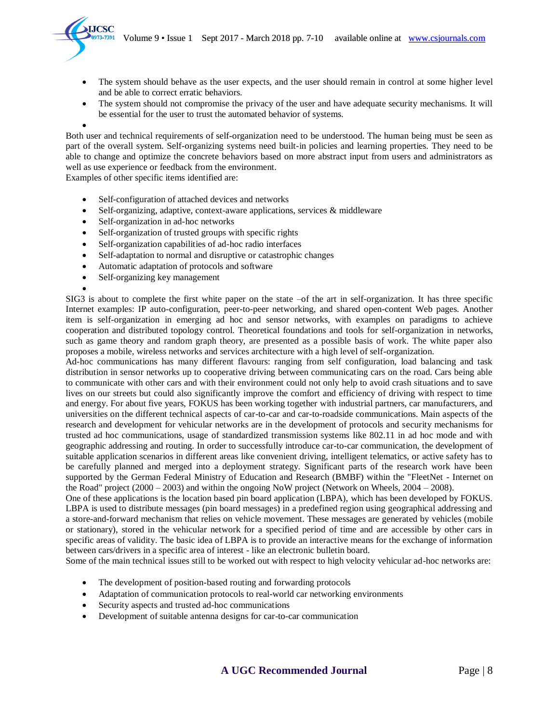

- The system should behave as the user expects, and the user should remain in control at some higher level and be able to correct erratic behaviors.
- The system should not compromise the privacy of the user and have adequate security mechanisms. It will be essential for the user to trust the automated behavior of systems.

 $\bullet$ Both user and technical requirements of self-organization need to be understood. The human being must be seen as part of the overall system. Self-organizing systems need built-in policies and learning properties. They need to be able to change and optimize the concrete behaviors based on more abstract input from users and administrators as well as use experience or feedback from the environment.

Examples of other specific items identified are:

- Self-configuration of attached devices and networks
- Self-organizing, adaptive, context-aware applications, services & middleware
- Self-organization in ad-hoc networks
- Self-organization of trusted groups with specific rights
- Self-organization capabilities of ad-hoc radio interfaces
- Self-adaptation to normal and disruptive or catastrophic changes
- Automatic adaptation of protocols and software
- Self-organizing key management

 $\bullet$ SIG3 is about to complete the first white paper on the state –of the art in self-organization. It has three specific Internet examples: IP auto-configuration, peer-to-peer networking, and shared open-content Web pages. Another item is self-organization in emerging ad hoc and sensor networks, with examples on paradigms to achieve cooperation and distributed topology control. Theoretical foundations and tools for self-organization in networks, such as game theory and random graph theory, are presented as a possible basis of work. The white paper also proposes a mobile, wireless networks and services architecture with a high level of self-organization.

Ad-hoc communications has many different flavours: ranging from self configuration, load balancing and task distribution in sensor networks up to cooperative driving between communicating cars on the road. Cars being able to communicate with other cars and with their environment could not only help to avoid crash situations and to save lives on our streets but could also significantly improve the comfort and efficiency of driving with respect to time and energy. For about five years, FOKUS has been working together with industrial partners, car manufacturers, and universities on the different technical aspects of car-to-car and car-to-roadside communications. Main aspects of the research and development for vehicular networks are in the development of protocols and security mechanisms for trusted ad hoc communications, usage of standardized transmission systems like 802.11 in ad hoc mode and with geographic addressing and routing. In order to successfully introduce car-to-car communication, the development of suitable application scenarios in different areas like convenient driving, intelligent telematics, or active safety has to be carefully planned and merged into a deployment strategy. Significant parts of the research work have been supported by the German Federal Ministry of Education and Research (BMBF) within the "FleetNet - Internet on the Road" project (2000 – 2003) and within the ongoing NoW project (Network on Wheels, 2004 – 2008).

One of these applications is the location based pin board application (LBPA), which has been developed by FOKUS. LBPA is used to distribute messages (pin board messages) in a predefined region using geographical addressing and a store-and-forward mechanism that relies on vehicle movement. These messages are generated by vehicles (mobile or stationary), stored in the vehicular network for a specified period of time and are accessible by other cars in specific areas of validity. The basic idea of LBPA is to provide an interactive means for the exchange of information between cars/drivers in a specific area of interest - like an electronic bulletin board.

Some of the main technical issues still to be worked out with respect to high velocity vehicular ad-hoc networks are:

- The development of position-based routing and forwarding protocols
- Adaptation of communication protocols to real-world car networking environments
- Security aspects and trusted ad-hoc communications
- Development of suitable antenna designs for car-to-car communication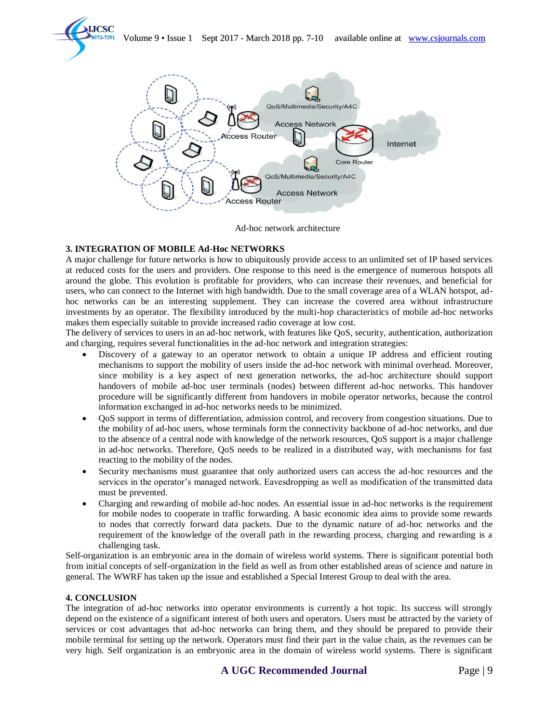



Ad-hoc network architecture

# **3. INTEGRATION OF MOBILE Ad-Hoc NETWORKS**

A major challenge for future networks is how to ubiquitously provide access to an unlimited set of IP based services at reduced costs for the users and providers. One response to this need is the emergence of numerous hotspots all around the globe. This evolution is profitable for providers, who can increase their revenues, and beneficial for users, who can connect to the Internet with high bandwidth. Due to the small coverage area of a WLAN hotspot, adhoc networks can be an interesting supplement. They can increase the covered area without infrastructure investments by an operator. The flexibility introduced by the multi-hop characteristics of mobile ad-hoc networks makes them especially suitable to provide increased radio coverage at low cost.

The delivery of services to users in an ad-hoc network, with features like QoS, security, authentication, authorization and charging, requires several functionalities in the ad-hoc network and integration strategies:

- Discovery of a gateway to an operator network to obtain a unique IP address and efficient routing mechanisms to support the mobility of users inside the ad-hoc network with minimal overhead. Moreover, since mobility is a key aspect of next generation networks, the ad-hoc architecture should support handovers of mobile ad-hoc user terminals (nodes) between different ad-hoc networks. This handover procedure will be significantly different from handovers in mobile operator networks, because the control information exchanged in ad-hoc networks needs to be minimized.
- QoS support in terms of differentiation, admission control, and recovery from congestion situations. Due to the mobility of ad-hoc users, whose terminals form the connectivity backbone of ad-hoc networks, and due to the absence of a central node with knowledge of the network resources, QoS support is a major challenge in ad-hoc networks. Therefore, QoS needs to be realized in a distributed way, with mechanisms for fast reacting to the mobility of the nodes.
- Security mechanisms must guarantee that only authorized users can access the ad-hoc resources and the services in the operator's managed network. Eavesdropping as well as modification of the transmitted data must be prevented.
- Charging and rewarding of mobile ad-hoc nodes. An essential issue in ad-hoc networks is the requirement for mobile nodes to cooperate in traffic forwarding. A basic economic idea aims to provide some rewards to nodes that correctly forward data packets. Due to the dynamic nature of ad-hoc networks and the requirement of the knowledge of the overall path in the rewarding process, charging and rewarding is a challenging task.

Self-organization is an embryonic area in the domain of wireless world systems. There is significant potential both from initial concepts of self-organization in the field as well as from other established areas of science and nature in general. The WWRF has taken up the issue and established a Special Interest Group to deal with the area.

## **4. CONCLUSION**

The integration of ad-hoc networks into operator environments is currently a hot topic. Its success will strongly depend on the existence of a significant interest of both users and operators. Users must be attracted by the variety of services or cost advantages that ad-hoc networks can bring them, and they should be prepared to provide their mobile terminal for setting up the network. Operators must find their part in the value chain, as the revenues can be very high. Self organization is an embryonic area in the domain of wireless world systems. There is significant